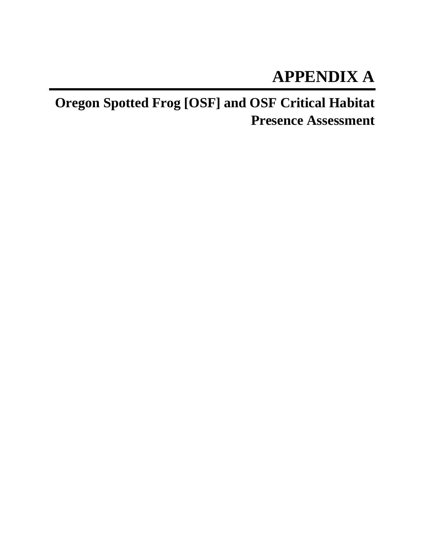# **APPENDIX A**

**Oregon Spotted Frog [OSF] and OSF Critical Habitat Presence Assessment**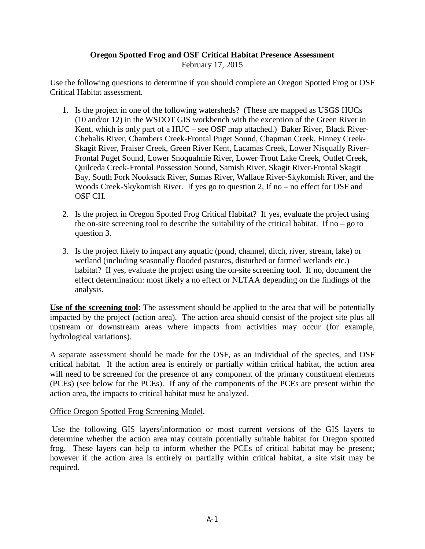# **Oregon Spotted Frog and OSF Critical Habitat Presence Assessment**

February 17, 2015

Use the following questions to determine if you should complete an Oregon Spotted Frog or OSF Critical Habitat assessment.

- 1. Is the project in one of the following watersheds? (These are mapped as USGS HUCs (10 and/or 12) in the WSDOT GIS workbench with the exception of the Green River in Kent, which is only part of a HUC – see OSF map attached.) Baker River, Black River-Chehalis River, Chambers Creek-Frontal Puget Sound, Chapman Creek, Finney Creek-Skagit River, Fraiser Creek, Green River Kent, Lacamas Creek, Lower Nisqually River-Frontal Puget Sound, Lower Snoqualmie River, Lower Trout Lake Creek, Outlet Creek, Quilceda Creek-Frontal Possession Sound, Samish River, Skagit River-Frontal Skagit Bay, South Fork Nooksack River, Sumas River, Wallace River-Skykomish River, and the Woods Creek-Skykomish River. If yes go to question 2, If no – no effect for OSF and OSF CH.
- 2. Is the project in Oregon Spotted Frog Critical Habitat? If yes, evaluate the project using the on-site screening tool to describe the suitability of the critical habitat. If no  $-$  go to question 3.
- 3. Is the project likely to impact any aquatic (pond, channel, ditch, river, stream, lake) or wetland (including seasonally flooded pastures, disturbed or farmed wetlands etc.) habitat? If yes, evaluate the project using the on-site screening tool. If no, document the effect determination: most likely a no effect or NLTAA depending on the findings of the analysis.

**Use of the screening tool**: The assessment should be applied to the area that will be potentially impacted by the project (action area). The action area should consist of the project site plus all upstream or downstream areas where impacts from activities may occur (for example, hydrological variations).

A separate assessment should be made for the OSF, as an individual of the species, and OSF critical habitat. If the action area is entirely or partially within critical habitat, the action area will need to be screened for the presence of any component of the primary constituent elements (PCEs) (see below for the PCEs). If any of the components of the PCEs are present within the action area, the impacts to critical habitat must be analyzed.

#### Office Oregon Spotted Frog Screening Model.

Use the following GIS layers/information or most current versions of the GIS layers to determine whether the action area may contain potentially suitable habitat for Oregon spotted frog. These layers can help to inform whether the PCEs of critical habitat may be present; however if the action area is entirely or partially within critical habitat, a site visit may be required.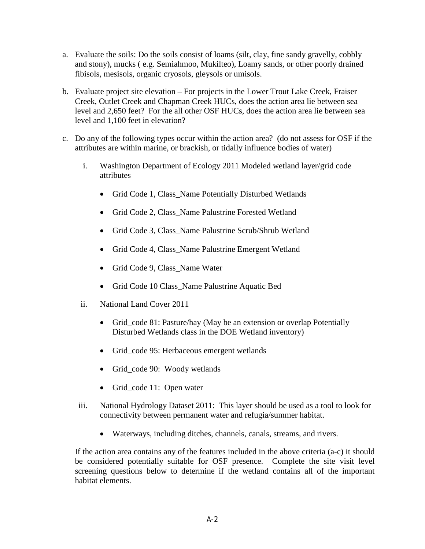- a. Evaluate the soils: Do the soils consist of loams (silt, clay, fine sandy gravelly, cobbly and stony), mucks ( e.g. Semiahmoo, Mukilteo), Loamy sands, or other poorly drained fibisols, mesisols, organic cryosols, gleysols or umisols.
- b. Evaluate project site elevation For projects in the Lower Trout Lake Creek, Fraiser Creek, Outlet Creek and Chapman Creek HUCs, does the action area lie between sea level and 2,650 feet? For the all other OSF HUCs, does the action area lie between sea level and 1,100 feet in elevation?
- c. Do any of the following types occur within the action area? (do not assess for OSF if the attributes are within marine, or brackish, or tidally influence bodies of water)
	- i. Washington Department of Ecology 2011 Modeled wetland layer/grid code attributes
		- Grid Code 1, Class\_Name Potentially Disturbed Wetlands
		- Grid Code 2, Class\_Name Palustrine Forested Wetland
		- Grid Code 3, Class Name Palustrine Scrub/Shrub Wetland
		- Grid Code 4, Class\_Name Palustrine Emergent Wetland
		- Grid Code 9, Class Name Water
		- Grid Code 10 Class Name Palustrine Aquatic Bed
	- ii. National Land Cover 2011
		- Grid\_code 81: Pasture/hay (May be an extension or overlap Potentially Disturbed Wetlands class in the DOE Wetland inventory)
		- Grid\_code 95: Herbaceous emergent wetlands
		- Grid\_code 90: Woody wetlands
		- Grid\_code 11: Open water
	- iii. National Hydrology Dataset 2011: This layer should be used as a tool to look for connectivity between permanent water and refugia/summer habitat.
		- Waterways, including ditches, channels, canals, streams, and rivers.

If the action area contains any of the features included in the above criteria (a-c) it should be considered potentially suitable for OSF presence. Complete the site visit level screening questions below to determine if the wetland contains all of the important habitat elements.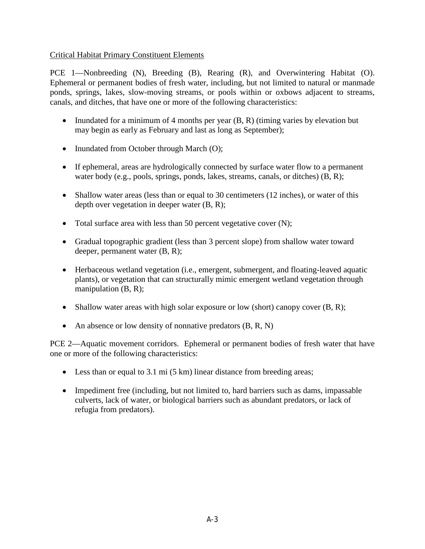## Critical Habitat Primary Constituent Elements

PCE 1—Nonbreeding (N), Breeding (B), Rearing (R), and Overwintering Habitat (O). Ephemeral or permanent bodies of fresh water, including, but not limited to natural or manmade ponds, springs, lakes, slow-moving streams, or pools within or oxbows adjacent to streams, canals, and ditches, that have one or more of the following characteristics:

- Inundated for a minimum of 4 months per year  $(B, R)$  (timing varies by elevation but may begin as early as February and last as long as September);
- Inundated from October through March (O);
- If ephemeral, areas are hydrologically connected by surface water flow to a permanent water body (e.g., pools, springs, ponds, lakes, streams, canals, or ditches) (B, R);
- Shallow water areas (less than or equal to 30 centimeters (12 inches), or water of this depth over vegetation in deeper water (B, R);
- Total surface area with less than 50 percent vegetative cover  $(N)$ ;
- Gradual topographic gradient (less than 3 percent slope) from shallow water toward deeper, permanent water (B, R);
- Herbaceous wetland vegetation (i.e., emergent, submergent, and floating-leaved aquatic plants), or vegetation that can structurally mimic emergent wetland vegetation through manipulation (B, R);
- Shallow water areas with high solar exposure or low (short) canopy cover  $(B, R)$ ;
- An absence or low density of nonnative predators  $(B, R, N)$

PCE 2—Aquatic movement corridors. Ephemeral or permanent bodies of fresh water that have one or more of the following characteristics:

- Less than or equal to 3.1 mi (5 km) linear distance from breeding areas;
- Impediment free (including, but not limited to, hard barriers such as dams, impassable culverts, lack of water, or biological barriers such as abundant predators, or lack of refugia from predators).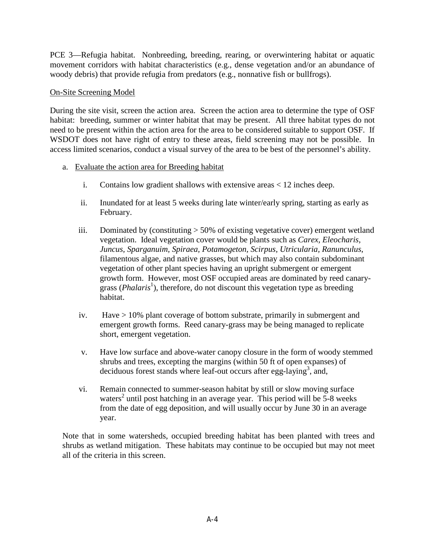PCE 3—Refugia habitat. Nonbreeding, breeding, rearing, or overwintering habitat or aquatic movement corridors with habitat characteristics (e.g., dense vegetation and/or an abundance of woody debris) that provide refugia from predators (e.g., nonnative fish or bullfrogs).

#### On-Site Screening Model

During the site visit, screen the action area. Screen the action area to determine the type of OSF habitat: breeding, summer or winter habitat that may be present. All three habitat types do not need to be present within the action area for the area to be considered suitable to support OSF. If WSDOT does not have right of entry to these areas, field screening may not be possible. In access limited scenarios, conduct a visual survey of the area to be best of the personnel's ability.

- a. Evaluate the action area for Breeding habitat
	- i. Contains low gradient shallows with extensive areas < 12 inches deep.
	- ii. Inundated for at least 5 weeks during late winter/early spring, starting as early as February.
	- iii. Dominated by (constituting > 50% of existing vegetative cover) emergent wetland vegetation. Ideal vegetation cover would be plants such as *Carex, Eleocharis, Juncus, Sparganuim, Spiraea, Potamogeton, Scirpus, Utricularia, Ranunculus*, filamentous algae, and native grasses, but which may also contain subdominant vegetation of other plant species having an upright submergent or emergent growth form. However, most OSF occupied areas are dominated by reed canarygrass (*Phalaris*<sup>1</sup>), therefore, do not discount this vegetation type as breeding habitat.
	- iv. Have > 10% plant coverage of bottom substrate, primarily in submergent and emergent growth forms. Reed canary-grass may be being managed to replicate short, emergent vegetation.
	- v. Have low surface and above-water canopy closure in the form of woody stemmed shrubs and trees, excepting the margins (within 50 ft of open expanses) of deciduous forest stands where leaf-out occurs after egg-laying<sup>3</sup>, and,
	- vi. Remain connected to summer-season habitat by still or slow moving surface waters<sup>2</sup> until post hatching in an average year. This period will be  $5-8$  weeks from the date of egg deposition, and will usually occur by June 30 in an average year.

Note that in some watersheds, occupied breeding habitat has been planted with trees and shrubs as wetland mitigation. These habitats may continue to be occupied but may not meet all of the criteria in this screen.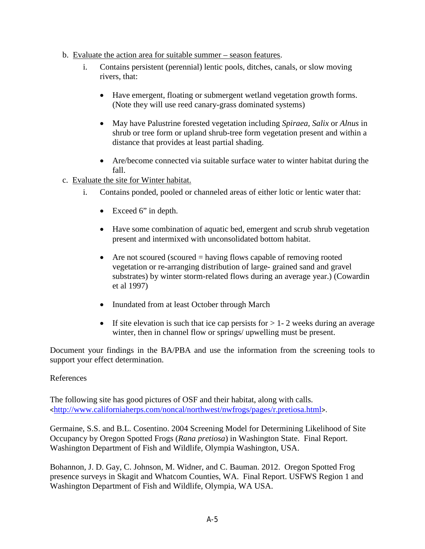- b. Evaluate the action area for suitable summer season features.
	- i. Contains persistent (perennial) lentic pools, ditches, canals, or slow moving rivers, that:
		- Have emergent, floating or submergent wetland vegetation growth forms. (Note they will use reed canary-grass dominated systems)
		- May have Palustrine forested vegetation including *Spiraea, Salix* or *Alnus* in shrub or tree form or upland shrub-tree form vegetation present and within a distance that provides at least partial shading.
		- Are/become connected via suitable surface water to winter habitat during the fall.
- c. Evaluate the site for Winter habitat.
	- i. Contains ponded, pooled or channeled areas of either lotic or lentic water that:
		- Exceed 6" in depth.
		- Have some combination of aquatic bed, emergent and scrub shrub vegetation present and intermixed with unconsolidated bottom habitat.
		- Are not scoured (scoured  $=$  having flows capable of removing rooted vegetation or re-arranging distribution of large- grained sand and gravel substrates) by winter storm-related flows during an average year.) (Cowardin et al 1997)
		- Inundated from at least October through March
		- If site elevation is such that ice cap persists for  $> 1-2$  weeks during an average winter, then in channel flow or springs/ upwelling must be present.

Document your findings in the BA/PBA and use the information from the screening tools to support your effect determination.

## References

The following site has good pictures of OSF and their habitat, along with calls. <<http://www.californiaherps.com/noncal/northwest/nwfrogs/pages/r.pretiosa.html>>.

Germaine, S.S. and B.L. Cosentino. 2004 Screening Model for Determining Likelihood of Site Occupancy by Oregon Spotted Frogs (*Rana pretiosa*) in Washington State. Final Report. Washington Department of Fish and Wildlife, Olympia Washington, USA.

Bohannon, J. D. Gay, C. Johnson, M. Widner, and C. Bauman. 2012. Oregon Spotted Frog presence surveys in Skagit and Whatcom Counties, WA. Final Report. USFWS Region 1 and Washington Department of Fish and Wildlife, Olympia, WA USA.